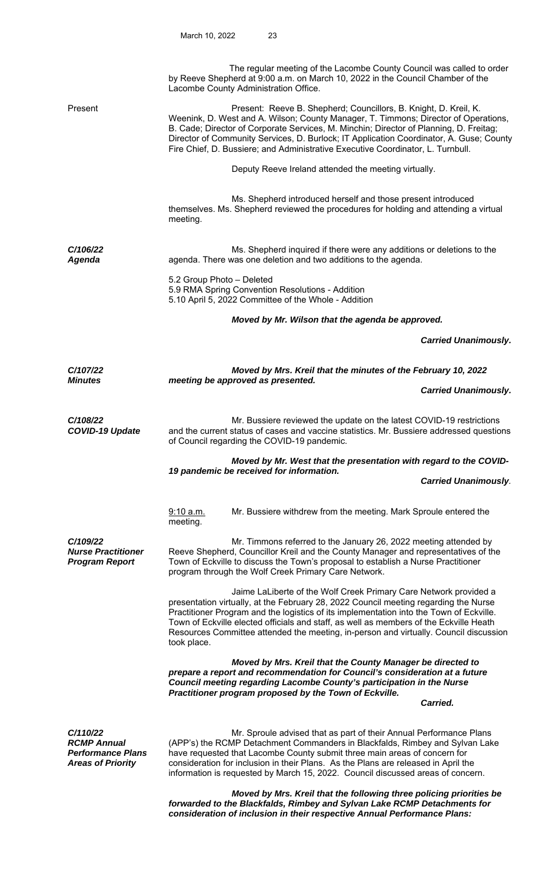|                                                                                        | The regular meeting of the Lacombe County Council was called to order<br>by Reeve Shepherd at 9:00 a.m. on March 10, 2022 in the Council Chamber of the<br>Lacombe County Administration Office.                                                                                                                                                                                                                                                       |  |  |
|----------------------------------------------------------------------------------------|--------------------------------------------------------------------------------------------------------------------------------------------------------------------------------------------------------------------------------------------------------------------------------------------------------------------------------------------------------------------------------------------------------------------------------------------------------|--|--|
| Present                                                                                | Present: Reeve B. Shepherd; Councillors, B. Knight, D. Kreil, K.<br>Weenink, D. West and A. Wilson; County Manager, T. Timmons; Director of Operations,<br>B. Cade; Director of Corporate Services, M. Minchin; Director of Planning, D. Freitag;<br>Director of Community Services, D. Burlock; IT Application Coordinator, A. Guse; County<br>Fire Chief, D. Bussiere; and Administrative Executive Coordinator, L. Turnbull.                        |  |  |
|                                                                                        | Deputy Reeve Ireland attended the meeting virtually.                                                                                                                                                                                                                                                                                                                                                                                                   |  |  |
|                                                                                        | Ms. Shepherd introduced herself and those present introduced<br>themselves. Ms. Shepherd reviewed the procedures for holding and attending a virtual<br>meeting.                                                                                                                                                                                                                                                                                       |  |  |
| C/106/22<br>Agenda                                                                     | Ms. Shepherd inquired if there were any additions or deletions to the<br>agenda. There was one deletion and two additions to the agenda.                                                                                                                                                                                                                                                                                                               |  |  |
|                                                                                        | 5.2 Group Photo - Deleted<br>5.9 RMA Spring Convention Resolutions - Addition<br>5.10 April 5, 2022 Committee of the Whole - Addition                                                                                                                                                                                                                                                                                                                  |  |  |
|                                                                                        | Moved by Mr. Wilson that the agenda be approved.                                                                                                                                                                                                                                                                                                                                                                                                       |  |  |
|                                                                                        | <b>Carried Unanimously.</b>                                                                                                                                                                                                                                                                                                                                                                                                                            |  |  |
| C/107/22                                                                               | Moved by Mrs. Kreil that the minutes of the February 10, 2022                                                                                                                                                                                                                                                                                                                                                                                          |  |  |
| <b>Minutes</b>                                                                         | meeting be approved as presented.<br><b>Carried Unanimously.</b>                                                                                                                                                                                                                                                                                                                                                                                       |  |  |
| C/108/22<br><b>COVID-19 Update</b>                                                     | Mr. Bussiere reviewed the update on the latest COVID-19 restrictions<br>and the current status of cases and vaccine statistics. Mr. Bussiere addressed questions<br>of Council regarding the COVID-19 pandemic.                                                                                                                                                                                                                                        |  |  |
|                                                                                        | Moved by Mr. West that the presentation with regard to the COVID-<br>19 pandemic be received for information.                                                                                                                                                                                                                                                                                                                                          |  |  |
|                                                                                        | <b>Carried Unanimously.</b>                                                                                                                                                                                                                                                                                                                                                                                                                            |  |  |
|                                                                                        | Mr. Bussiere withdrew from the meeting. Mark Sproule entered the<br>9:10 a.m.<br>meeting.                                                                                                                                                                                                                                                                                                                                                              |  |  |
| C/109/22<br><b>Nurse Practitioner</b><br><b>Program Report</b>                         | Mr. Timmons referred to the January 26, 2022 meeting attended by<br>Reeve Shepherd, Councillor Kreil and the County Manager and representatives of the<br>Town of Eckville to discuss the Town's proposal to establish a Nurse Practitioner<br>program through the Wolf Creek Primary Care Network.                                                                                                                                                    |  |  |
|                                                                                        | Jaime LaLiberte of the Wolf Creek Primary Care Network provided a<br>presentation virtually, at the February 28, 2022 Council meeting regarding the Nurse<br>Practitioner Program and the logistics of its implementation into the Town of Eckville.<br>Town of Eckville elected officials and staff, as well as members of the Eckville Heath<br>Resources Committee attended the meeting, in-person and virtually. Council discussion<br>took place. |  |  |
|                                                                                        | Moved by Mrs. Kreil that the County Manager be directed to<br>prepare a report and recommendation for Council's consideration at a future<br>Council meeting regarding Lacombe County's participation in the Nurse<br>Practitioner program proposed by the Town of Eckville.<br>Carried.                                                                                                                                                               |  |  |
| C/110/22<br><b>RCMP Annual</b><br><b>Performance Plans</b><br><b>Areas of Priority</b> | Mr. Sproule advised that as part of their Annual Performance Plans<br>(APP's) the RCMP Detachment Commanders in Blackfalds, Rimbey and Sylvan Lake<br>have requested that Lacombe County submit three main areas of concern for<br>consideration for inclusion in their Plans. As the Plans are released in April the<br>information is requested by March 15, 2022. Council discussed areas of concern.                                               |  |  |

 *Moved by Mrs. Kreil that the following three policing priorities be forwarded to the Blackfalds, Rimbey and Sylvan Lake RCMP Detachments for consideration of inclusion in their respective Annual Performance Plans:*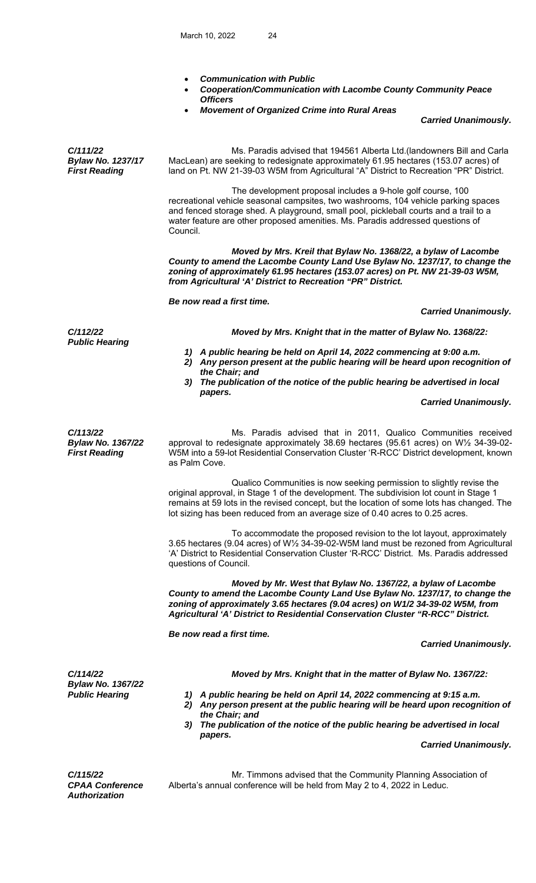- *Communication with Public*
- *Cooperation/Communication with Lacombe County Community Peace Officers*
- *Movement of Organized Crime into Rural Areas*

 *Carried Unanimously.* 

*C/111/22 Bylaw No. 1237/17 First Reading* Ms. Paradis advised that 194561 Alberta Ltd.(landowners Bill and Carla MacLean) are seeking to redesignate approximately 61.95 hectares (153.07 acres) of land on Pt. NW 21-39-03 W5M from Agricultural "A" District to Recreation "PR" District. The development proposal includes a 9-hole golf course, 100 recreational vehicle seasonal campsites, two washrooms, 104 vehicle parking spaces and fenced storage shed. A playground, small pool, pickleball courts and a trail to a water feature are other proposed amenities. Ms. Paradis addressed questions of Council. *Moved by Mrs. Kreil that Bylaw No. 1368/22, a bylaw of Lacombe County to amend the Lacombe County Land Use Bylaw No. 1237/17, to change the zoning of approximately 61.95 hectares (153.07 acres) on Pt. NW 21-39-03 W5M, from Agricultural 'A' District to Recreation "PR" District. Be now read a first time. Carried Unanimously. C/112/22 Moved by Mrs. Knight that in the matter of Bylaw No. 1368/22: Public Hearing 1) A public hearing be held on April 14, 2022 commencing at 9:00 a.m. 2) Any person present at the public hearing will be heard upon recognition of the Chair; and 3) The publication of the notice of the public hearing be advertised in local papers. Carried Unanimously. C/113/22 Bylaw No. 1367/22 First Reading*  Ms. Paradis advised that in 2011, Qualico Communities received approval to redesignate approximately 38.69 hectares (95.61 acres) on W½ 34-39-02- W5M into a 59-lot Residential Conservation Cluster 'R-RCC' District development, known as Palm Cove. Qualico Communities is now seeking permission to slightly revise the original approval, in Stage 1 of the development. The subdivision lot count in Stage 1 remains at 59 lots in the revised concept, but the location of some lots has changed. The lot sizing has been reduced from an average size of 0.40 acres to 0.25 acres. To accommodate the proposed revision to the lot layout, approximately 3.65 hectares (9.04 acres) of W½ 34-39-02-W5M land must be rezoned from Agricultural 'A' District to Residential Conservation Cluster 'R-RCC' District. Ms. Paradis addressed questions of Council. *Moved by Mr. West that Bylaw No. 1367/22, a bylaw of Lacombe County to amend the Lacombe County Land Use Bylaw No. 1237/17, to change the zoning of approximately 3.65 hectares (9.04 acres) on W1/2 34-39-02 W5M, from Agricultural 'A' District to Residential Conservation Cluster "R-RCC" District. Be now read a first time. Carried Unanimously. C/114/22 Moved by Mrs. Knight that in the matter of Bylaw No. 1367/22: Bylaw No. 1367/22*  A public hearing be held on April 14, 2022 commencing at 9:15 a.m.  *2) Any person present at the public hearing will be heard upon recognition of the Chair; and 3) The publication of the notice of the public hearing be advertised in local papers. Carried Unanimously. C/115/22*  Mr. Timmons advised that the Community Planning Association of

*CPAA Conference Authorization* 

Alberta's annual conference will be held from May 2 to 4, 2022 in Leduc.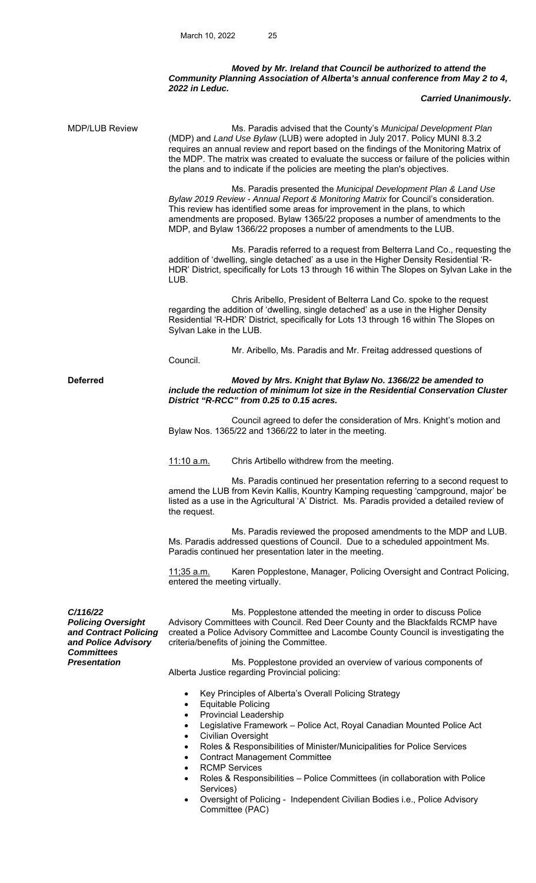## *Moved by Mr. Ireland that Council be authorized to attend the Community Planning Association of Alberta's annual conference from May 2 to 4, 2022 in Leduc.*

## *Carried Unanimously.*

| MDP/LUB Review                                                                                                                    | Ms. Paradis advised that the County's Municipal Development Plan<br>(MDP) and Land Use Bylaw (LUB) were adopted in July 2017. Policy MUNI 8.3.2<br>requires an annual review and report based on the findings of the Monitoring Matrix of<br>the MDP. The matrix was created to evaluate the success or failure of the policies within<br>the plans and to indicate if the policies are meeting the plan's objectives.  |  |  |  |
|-----------------------------------------------------------------------------------------------------------------------------------|-------------------------------------------------------------------------------------------------------------------------------------------------------------------------------------------------------------------------------------------------------------------------------------------------------------------------------------------------------------------------------------------------------------------------|--|--|--|
|                                                                                                                                   | Ms. Paradis presented the Municipal Development Plan & Land Use<br>Bylaw 2019 Review - Annual Report & Monitoring Matrix for Council's consideration.<br>This review has identified some areas for improvement in the plans, to which<br>amendments are proposed. Bylaw 1365/22 proposes a number of amendments to the<br>MDP, and Bylaw 1366/22 proposes a number of amendments to the LUB.                            |  |  |  |
|                                                                                                                                   | Ms. Paradis referred to a request from Belterra Land Co., requesting the<br>addition of 'dwelling, single detached' as a use in the Higher Density Residential 'R-<br>HDR' District, specifically for Lots 13 through 16 within The Slopes on Sylvan Lake in the<br>LUB.                                                                                                                                                |  |  |  |
|                                                                                                                                   | Chris Aribello, President of Belterra Land Co. spoke to the request<br>regarding the addition of 'dwelling, single detached' as a use in the Higher Density<br>Residential 'R-HDR' District, specifically for Lots 13 through 16 within The Slopes on<br>Sylvan Lake in the LUB.                                                                                                                                        |  |  |  |
|                                                                                                                                   | Mr. Aribello, Ms. Paradis and Mr. Freitag addressed questions of<br>Council.                                                                                                                                                                                                                                                                                                                                            |  |  |  |
| <b>Deferred</b>                                                                                                                   | Moved by Mrs. Knight that Bylaw No. 1366/22 be amended to<br>include the reduction of minimum lot size in the Residential Conservation Cluster<br>District "R-RCC" from 0.25 to 0.15 acres.                                                                                                                                                                                                                             |  |  |  |
|                                                                                                                                   | Council agreed to defer the consideration of Mrs. Knight's motion and<br>Bylaw Nos. 1365/22 and 1366/22 to later in the meeting.                                                                                                                                                                                                                                                                                        |  |  |  |
|                                                                                                                                   | <u>11:10 a.m.</u><br>Chris Artibello withdrew from the meeting.                                                                                                                                                                                                                                                                                                                                                         |  |  |  |
|                                                                                                                                   | Ms. Paradis continued her presentation referring to a second request to<br>amend the LUB from Kevin Kallis, Kountry Kamping requesting 'campground, major' be<br>listed as a use in the Agricultural 'A' District. Ms. Paradis provided a detailed review of<br>the request.                                                                                                                                            |  |  |  |
|                                                                                                                                   | Ms. Paradis reviewed the proposed amendments to the MDP and LUB.<br>Ms. Paradis addressed questions of Council. Due to a scheduled appointment Ms.<br>Paradis continued her presentation later in the meeting.                                                                                                                                                                                                          |  |  |  |
|                                                                                                                                   | Karen Popplestone, Manager, Policing Oversight and Contract Policing,<br><u>11;35 a.m.</u><br>entered the meeting virtually.                                                                                                                                                                                                                                                                                            |  |  |  |
| C/116/22<br><b>Policing Oversight</b><br>and Contract Policing<br>and Police Advisory<br><b>Committees</b><br><b>Presentation</b> | Ms. Popplestone attended the meeting in order to discuss Police<br>Advisory Committees with Council. Red Deer County and the Blackfalds RCMP have<br>created a Police Advisory Committee and Lacombe County Council is investigating the<br>criteria/benefits of joining the Committee.                                                                                                                                 |  |  |  |
|                                                                                                                                   | Ms. Popplestone provided an overview of various components of<br>Alberta Justice regarding Provincial policing:                                                                                                                                                                                                                                                                                                         |  |  |  |
|                                                                                                                                   | Key Principles of Alberta's Overall Policing Strategy<br>$\bullet$<br><b>Equitable Policing</b><br>$\bullet$<br><b>Provincial Leadership</b><br>$\bullet$<br>Legislative Framework - Police Act, Royal Canadian Mounted Police Act<br>$\bullet$<br><b>Civilian Oversight</b><br>Roles & Responsibilities of Minister/Municipalities for Police Services<br><b>Contract Management Committee</b><br><b>RCMP Services</b> |  |  |  |
|                                                                                                                                   |                                                                                                                                                                                                                                                                                                                                                                                                                         |  |  |  |

- Roles & Responsibilities Police Committees (in collaboration with Police Services)
- Oversight of Policing Independent Civilian Bodies i.e., Police Advisory Committee (PAC)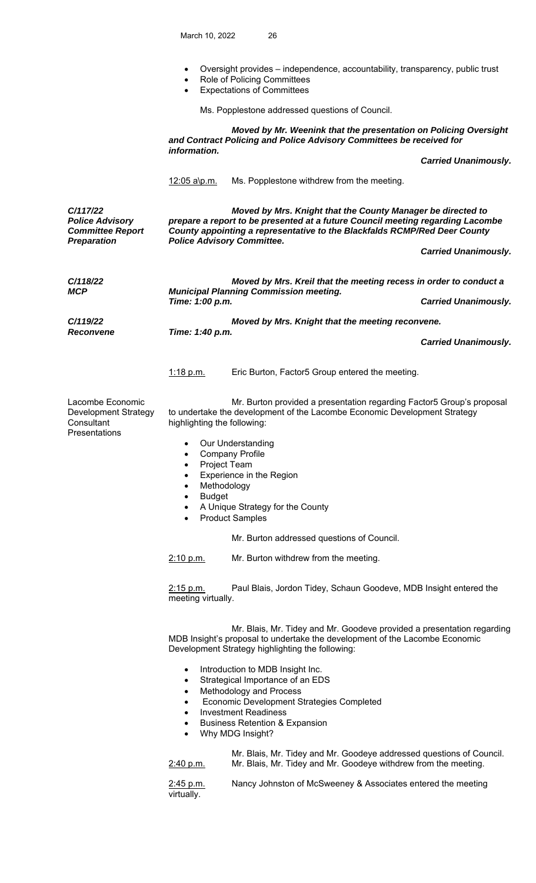- Oversight provides independence, accountability, transparency, public trust
- Role of Policing Committees
- Expectations of Committees

Ms. Popplestone addressed questions of Council.

|                                                                                     | Moved by Mr. Weenink that the presentation on Policing Oversight<br>and Contract Policing and Police Advisory Committees be received for<br>information.                                                                                                                                                                                                                                                                                                                                                                                                                                                                                                                                                                                                                                                |                                                                                                                                                                                                                                                                                                                                                                                                                                                         |                             |  |
|-------------------------------------------------------------------------------------|---------------------------------------------------------------------------------------------------------------------------------------------------------------------------------------------------------------------------------------------------------------------------------------------------------------------------------------------------------------------------------------------------------------------------------------------------------------------------------------------------------------------------------------------------------------------------------------------------------------------------------------------------------------------------------------------------------------------------------------------------------------------------------------------------------|---------------------------------------------------------------------------------------------------------------------------------------------------------------------------------------------------------------------------------------------------------------------------------------------------------------------------------------------------------------------------------------------------------------------------------------------------------|-----------------------------|--|
|                                                                                     |                                                                                                                                                                                                                                                                                                                                                                                                                                                                                                                                                                                                                                                                                                                                                                                                         |                                                                                                                                                                                                                                                                                                                                                                                                                                                         | <b>Carried Unanimously.</b> |  |
|                                                                                     | <u>12:05 a\p.m.</u>                                                                                                                                                                                                                                                                                                                                                                                                                                                                                                                                                                                                                                                                                                                                                                                     | Ms. Popplestone withdrew from the meeting.                                                                                                                                                                                                                                                                                                                                                                                                              |                             |  |
| C/117/22<br><b>Police Advisory</b><br><b>Committee Report</b><br><b>Preparation</b> | Moved by Mrs. Knight that the County Manager be directed to<br>prepare a report to be presented at a future Council meeting regarding Lacombe<br>County appointing a representative to the Blackfalds RCMP/Red Deer County<br><b>Police Advisory Committee.</b>                                                                                                                                                                                                                                                                                                                                                                                                                                                                                                                                         |                                                                                                                                                                                                                                                                                                                                                                                                                                                         |                             |  |
|                                                                                     |                                                                                                                                                                                                                                                                                                                                                                                                                                                                                                                                                                                                                                                                                                                                                                                                         |                                                                                                                                                                                                                                                                                                                                                                                                                                                         | <b>Carried Unanimously.</b> |  |
| C/118/22<br><b>MCP</b>                                                              | Moved by Mrs. Kreil that the meeting recess in order to conduct a<br><b>Municipal Planning Commission meeting.</b><br>Time: 1:00 p.m.                                                                                                                                                                                                                                                                                                                                                                                                                                                                                                                                                                                                                                                                   |                                                                                                                                                                                                                                                                                                                                                                                                                                                         |                             |  |
|                                                                                     |                                                                                                                                                                                                                                                                                                                                                                                                                                                                                                                                                                                                                                                                                                                                                                                                         |                                                                                                                                                                                                                                                                                                                                                                                                                                                         | <b>Carried Unanimously.</b> |  |
| C/119/22<br><b>Reconvene</b>                                                        | Moved by Mrs. Knight that the meeting reconvene.                                                                                                                                                                                                                                                                                                                                                                                                                                                                                                                                                                                                                                                                                                                                                        |                                                                                                                                                                                                                                                                                                                                                                                                                                                         |                             |  |
|                                                                                     | Time: 1:40 p.m.<br><b>Carried Unanimously.</b>                                                                                                                                                                                                                                                                                                                                                                                                                                                                                                                                                                                                                                                                                                                                                          |                                                                                                                                                                                                                                                                                                                                                                                                                                                         |                             |  |
|                                                                                     | 1:18 p.m.                                                                                                                                                                                                                                                                                                                                                                                                                                                                                                                                                                                                                                                                                                                                                                                               | Eric Burton, Factor5 Group entered the meeting.                                                                                                                                                                                                                                                                                                                                                                                                         |                             |  |
| Lacombe Economic<br>Development Strategy<br>Consultant<br>Presentations             | highlighting the following:<br>$\bullet$<br>$\bullet$<br>Project Team<br>$\bullet$<br>$\bullet$<br>Methodology<br>$\bullet$<br><b>Budget</b><br>$\bullet$<br>$\bullet$<br>٠<br>2:10 p.m.<br>$2:15$ p.m.<br>meeting virtually.                                                                                                                                                                                                                                                                                                                                                                                                                                                                                                                                                                           | Mr. Burton provided a presentation regarding Factor5 Group's proposal<br>to undertake the development of the Lacombe Economic Development Strategy<br>Our Understanding<br><b>Company Profile</b><br>Experience in the Region<br>A Unique Strategy for the County<br><b>Product Samples</b><br>Mr. Burton addressed questions of Council.<br>Mr. Burton withdrew from the meeting.<br>Paul Blais, Jordon Tidey, Schaun Goodeve, MDB Insight entered the |                             |  |
|                                                                                     | Mr. Blais, Mr. Tidey and Mr. Goodeve provided a presentation regarding<br>MDB Insight's proposal to undertake the development of the Lacombe Economic<br>Development Strategy highlighting the following:<br>Introduction to MDB Insight Inc.<br>$\bullet$<br>Strategical Importance of an EDS<br>$\bullet$<br>Methodology and Process<br>$\bullet$<br>Economic Development Strategies Completed<br>$\bullet$<br><b>Investment Readiness</b><br>$\bullet$<br><b>Business Retention &amp; Expansion</b><br>$\bullet$<br>Why MDG Insight?<br>$\bullet$<br>Mr. Blais, Mr. Tidey and Mr. Goodeye addressed questions of Council.<br>Mr. Blais, Mr. Tidey and Mr. Goodeye withdrew from the meeting.<br>2:40 p.m.<br>Nancy Johnston of McSweeney & Associates entered the meeting<br>2:45 p.m.<br>virtually. |                                                                                                                                                                                                                                                                                                                                                                                                                                                         |                             |  |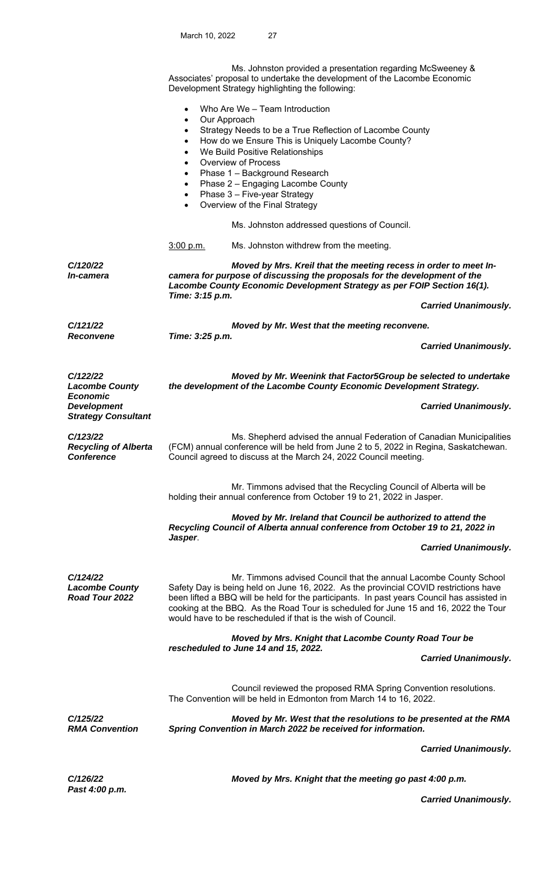Ms. Johnston provided a presentation regarding McSweeney & Associates' proposal to undertake the development of the Lacombe Economic Development Strategy highlighting the following: Who Are We – Team Introduction Our Approach

- Strategy Needs to be a True Reflection of Lacombe County
- How do we Ensure This is Uniquely Lacombe County?
- We Build Positive Relationships
- Overview of Process
- Phase 1 Background Research
- Phase 2 Engaging Lacombe County
- Phase 3 Five-year Strategy
- Overview of the Final Strategy

Ms. Johnston addressed questions of Council.

3:00 p.m. Ms. Johnston withdrew from the meeting.

*C/120/22 In-camera* 

*C/122/22* 

*Economic Development* 

*C/123/22* 

*Conference* 

*Lacombe County* 

*Strategy Consultant* 

*Recycling of Alberta* 

 *Moved by Mrs. Kreil that the meeting recess in order to meet Incamera for purpose of discussing the proposals for the development of the Lacombe County Economic Development Strategy as per FOIP Section 16(1). Time: 3:15 p.m.* 

 *Carried Unanimously.* 

*C/121/22 Moved by Mr. West that the meeting reconvene. Reconvene Time: 3:25 p.m.* 

 *Carried Unanimously.* 

 *Moved by Mr. Weenink that Factor5Group be selected to undertake the development of the Lacombe County Economic Development Strategy.* 

 *Carried Unanimously.* 

 Ms. Shepherd advised the annual Federation of Canadian Municipalities (FCM) annual conference will be held from June 2 to 5, 2022 in Regina, Saskatchewan. Council agreed to discuss at the March 24, 2022 Council meeting.

Mr. Timmons advised that the Recycling Council of Alberta will be holding their annual conference from October 19 to 21, 2022 in Jasper.

 *Moved by Mr. Ireland that Council be authorized to attend the Recycling Council of Alberta annual conference from October 19 to 21, 2022 in Jasper*.

 *Carried Unanimously.* 

*C/124/22 Lacombe County Road Tour 2022* 

**Mr. Timmons advised Council that the annual Lacombe County School** Safety Day is being held on June 16, 2022. As the provincial COVID restrictions have been lifted a BBQ will be held for the participants. In past years Council has assisted in cooking at the BBQ. As the Road Tour is scheduled for June 15 and 16, 2022 the Tour would have to be rescheduled if that is the wish of Council.

 *Moved by Mrs. Knight that Lacombe County Road Tour be rescheduled to June 14 and 15, 2022.* 

 *Carried Unanimously.* 

 Council reviewed the proposed RMA Spring Convention resolutions. The Convention will be held in Edmonton from March 14 to 16, 2022.

*C/125/22 RMA Convention* 

 *Moved by Mr. West that the resolutions to be presented at the RMA Spring Convention in March 2022 be received for information.* 

 *Carried Unanimously.* 

*Past 4:00 p.m.* 

*C/126/22 Moved by Mrs. Knight that the meeting go past 4:00 p.m.* 

 *Carried Unanimously.*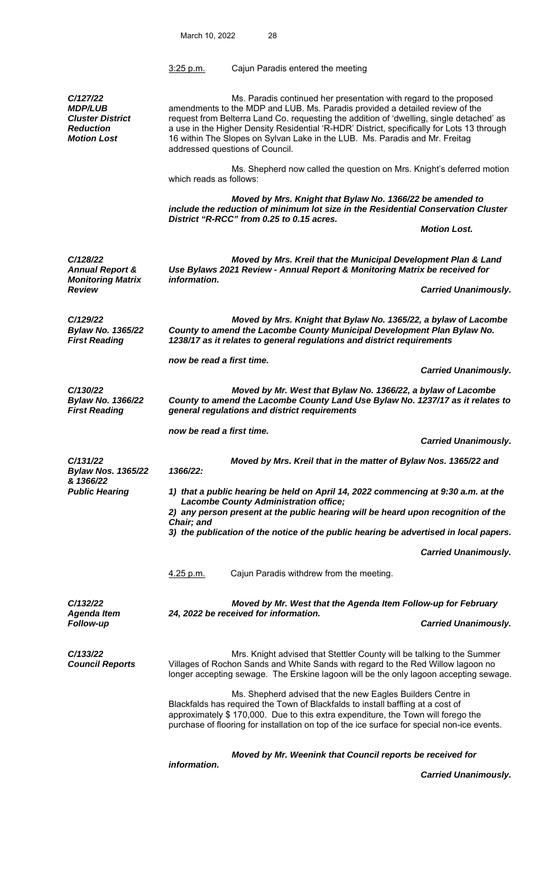|                                                                                                 | $3:25$ p.m.                                                                                                                                                                                                                                                                                                                                                                                                                                                    | Cajun Paradis entered the meeting                                                                                                                                                                                                                                                                                                  |                             |  |  |
|-------------------------------------------------------------------------------------------------|----------------------------------------------------------------------------------------------------------------------------------------------------------------------------------------------------------------------------------------------------------------------------------------------------------------------------------------------------------------------------------------------------------------------------------------------------------------|------------------------------------------------------------------------------------------------------------------------------------------------------------------------------------------------------------------------------------------------------------------------------------------------------------------------------------|-----------------------------|--|--|
| C/127/22<br><b>MDP/LUB</b><br><b>Cluster District</b><br><b>Reduction</b><br><b>Motion Lost</b> | Ms. Paradis continued her presentation with regard to the proposed<br>amendments to the MDP and LUB. Ms. Paradis provided a detailed review of the<br>request from Belterra Land Co. requesting the addition of 'dwelling, single detached' as<br>a use in the Higher Density Residential 'R-HDR' District, specifically for Lots 13 through<br>16 within The Slopes on Sylvan Lake in the LUB. Ms. Paradis and Mr. Freitag<br>addressed questions of Council. |                                                                                                                                                                                                                                                                                                                                    |                             |  |  |
|                                                                                                 | which reads as follows:                                                                                                                                                                                                                                                                                                                                                                                                                                        | Ms. Shepherd now called the question on Mrs. Knight's deferred motion                                                                                                                                                                                                                                                              |                             |  |  |
|                                                                                                 | Moved by Mrs. Knight that Bylaw No. 1366/22 be amended to<br>include the reduction of minimum lot size in the Residential Conservation Cluster<br>District "R-RCC" from 0.25 to 0.15 acres.                                                                                                                                                                                                                                                                    |                                                                                                                                                                                                                                                                                                                                    |                             |  |  |
|                                                                                                 |                                                                                                                                                                                                                                                                                                                                                                                                                                                                |                                                                                                                                                                                                                                                                                                                                    | <b>Motion Lost.</b>         |  |  |
| C/128/22<br><b>Annual Report &amp;</b><br><b>Monitoring Matrix</b>                              | information.                                                                                                                                                                                                                                                                                                                                                                                                                                                   | Moved by Mrs. Kreil that the Municipal Development Plan & Land<br>Use Bylaws 2021 Review - Annual Report & Monitoring Matrix be received for                                                                                                                                                                                       |                             |  |  |
| Review                                                                                          |                                                                                                                                                                                                                                                                                                                                                                                                                                                                |                                                                                                                                                                                                                                                                                                                                    | <b>Carried Unanimously.</b> |  |  |
| C/129/22<br><b>Bylaw No. 1365/22</b><br><b>First Reading</b>                                    | Moved by Mrs. Knight that Bylaw No. 1365/22, a bylaw of Lacombe<br>County to amend the Lacombe County Municipal Development Plan Bylaw No.<br>1238/17 as it relates to general regulations and district requirements                                                                                                                                                                                                                                           |                                                                                                                                                                                                                                                                                                                                    |                             |  |  |
|                                                                                                 | now be read a first time.                                                                                                                                                                                                                                                                                                                                                                                                                                      |                                                                                                                                                                                                                                                                                                                                    | <b>Carried Unanimously.</b> |  |  |
| C/130/22<br><b>Bylaw No. 1366/22</b><br><b>First Reading</b>                                    | Moved by Mr. West that Bylaw No. 1366/22, a bylaw of Lacombe<br>County to amend the Lacombe County Land Use Bylaw No. 1237/17 as it relates to<br>general regulations and district requirements                                                                                                                                                                                                                                                                |                                                                                                                                                                                                                                                                                                                                    |                             |  |  |
|                                                                                                 | now be read a first time.                                                                                                                                                                                                                                                                                                                                                                                                                                      |                                                                                                                                                                                                                                                                                                                                    | <b>Carried Unanimously.</b> |  |  |
| C/131/22<br><b>Bylaw Nos. 1365/22</b><br>& 1366/22<br><b>Public Hearing</b>                     | 1366/22:                                                                                                                                                                                                                                                                                                                                                                                                                                                       | Moved by Mrs. Kreil that in the matter of Bylaw Nos. 1365/22 and                                                                                                                                                                                                                                                                   |                             |  |  |
|                                                                                                 | 1) that a public hearing be held on April 14, 2022 commencing at 9:30 a.m. at the<br><b>Lacombe County Administration office;</b><br>2) any person present at the public hearing will be heard upon recognition of the                                                                                                                                                                                                                                         |                                                                                                                                                                                                                                                                                                                                    |                             |  |  |
|                                                                                                 | Chair; and<br>3) the publication of the notice of the public hearing be advertised in local papers.                                                                                                                                                                                                                                                                                                                                                            |                                                                                                                                                                                                                                                                                                                                    |                             |  |  |
|                                                                                                 |                                                                                                                                                                                                                                                                                                                                                                                                                                                                |                                                                                                                                                                                                                                                                                                                                    | <b>Carried Unanimously.</b> |  |  |
|                                                                                                 | 4.25 p.m.                                                                                                                                                                                                                                                                                                                                                                                                                                                      | Cajun Paradis withdrew from the meeting.                                                                                                                                                                                                                                                                                           |                             |  |  |
| C/132/22<br><b>Agenda Item</b><br><b>Follow-up</b>                                              |                                                                                                                                                                                                                                                                                                                                                                                                                                                                | Moved by Mr. West that the Agenda Item Follow-up for February<br>24, 2022 be received for information.                                                                                                                                                                                                                             |                             |  |  |
|                                                                                                 |                                                                                                                                                                                                                                                                                                                                                                                                                                                                |                                                                                                                                                                                                                                                                                                                                    | <b>Carried Unanimously.</b> |  |  |
| C/133/22<br><b>Council Reports</b>                                                              |                                                                                                                                                                                                                                                                                                                                                                                                                                                                | Mrs. Knight advised that Stettler County will be talking to the Summer<br>Villages of Rochon Sands and White Sands with regard to the Red Willow lagoon no<br>longer accepting sewage. The Erskine lagoon will be the only lagoon accepting sewage.                                                                                |                             |  |  |
|                                                                                                 |                                                                                                                                                                                                                                                                                                                                                                                                                                                                | Ms. Shepherd advised that the new Eagles Builders Centre in<br>Blackfalds has required the Town of Blackfalds to install baffling at a cost of<br>approximately \$ 170,000. Due to this extra expenditure, the Town will forego the<br>purchase of flooring for installation on top of the ice surface for special non-ice events. |                             |  |  |
|                                                                                                 | information.                                                                                                                                                                                                                                                                                                                                                                                                                                                   | Moved by Mr. Weenink that Council reports be received for                                                                                                                                                                                                                                                                          |                             |  |  |
|                                                                                                 |                                                                                                                                                                                                                                                                                                                                                                                                                                                                |                                                                                                                                                                                                                                                                                                                                    | <b>Carried Unanimously.</b> |  |  |

March 10, 2022 28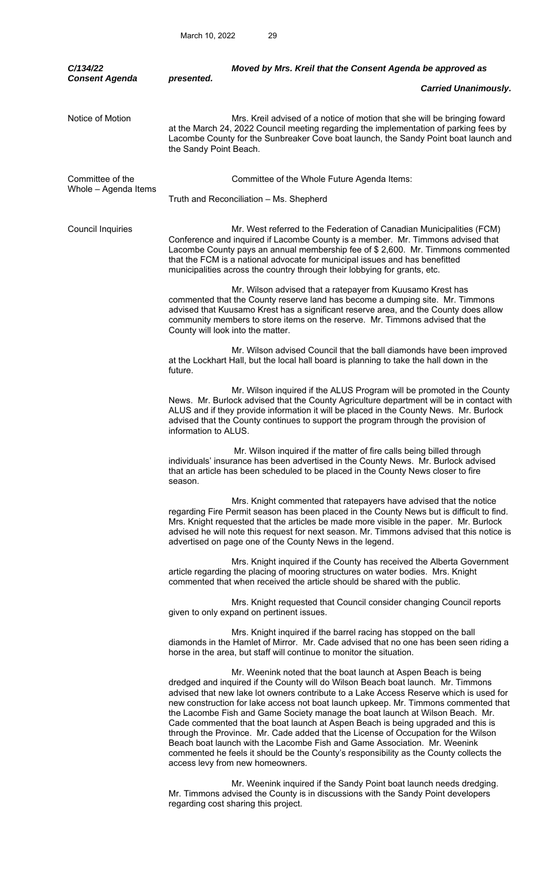| C/134/22<br><b>Consent Agenda</b>        | Moved by Mrs. Kreil that the Consent Agenda be approved as<br>presented.                                                                                                                                                                                                                                                                                                                                                                                                                                                                                                                                                                                                                                                                                                                                  |
|------------------------------------------|-----------------------------------------------------------------------------------------------------------------------------------------------------------------------------------------------------------------------------------------------------------------------------------------------------------------------------------------------------------------------------------------------------------------------------------------------------------------------------------------------------------------------------------------------------------------------------------------------------------------------------------------------------------------------------------------------------------------------------------------------------------------------------------------------------------|
|                                          | <b>Carried Unanimously.</b>                                                                                                                                                                                                                                                                                                                                                                                                                                                                                                                                                                                                                                                                                                                                                                               |
| Notice of Motion                         | Mrs. Kreil advised of a notice of motion that she will be bringing foward<br>at the March 24, 2022 Council meeting regarding the implementation of parking fees by<br>Lacombe County for the Sunbreaker Cove boat launch, the Sandy Point boat launch and<br>the Sandy Point Beach.                                                                                                                                                                                                                                                                                                                                                                                                                                                                                                                       |
| Committee of the<br>Whole - Agenda Items | Committee of the Whole Future Agenda Items:                                                                                                                                                                                                                                                                                                                                                                                                                                                                                                                                                                                                                                                                                                                                                               |
|                                          | Truth and Reconciliation - Ms. Shepherd                                                                                                                                                                                                                                                                                                                                                                                                                                                                                                                                                                                                                                                                                                                                                                   |
| <b>Council Inquiries</b>                 | Mr. West referred to the Federation of Canadian Municipalities (FCM)<br>Conference and inquired if Lacombe County is a member. Mr. Timmons advised that<br>Lacombe County pays an annual membership fee of \$2,600. Mr. Timmons commented<br>that the FCM is a national advocate for municipal issues and has benefitted<br>municipalities across the country through their lobbying for grants, etc.                                                                                                                                                                                                                                                                                                                                                                                                     |
|                                          | Mr. Wilson advised that a ratepayer from Kuusamo Krest has<br>commented that the County reserve land has become a dumping site. Mr. Timmons<br>advised that Kuusamo Krest has a significant reserve area, and the County does allow<br>community members to store items on the reserve. Mr. Timmons advised that the<br>County will look into the matter.                                                                                                                                                                                                                                                                                                                                                                                                                                                 |
|                                          | Mr. Wilson advised Council that the ball diamonds have been improved<br>at the Lockhart Hall, but the local hall board is planning to take the hall down in the<br>future.                                                                                                                                                                                                                                                                                                                                                                                                                                                                                                                                                                                                                                |
|                                          | Mr. Wilson inquired if the ALUS Program will be promoted in the County<br>News. Mr. Burlock advised that the County Agriculture department will be in contact with<br>ALUS and if they provide information it will be placed in the County News. Mr. Burlock<br>advised that the County continues to support the program through the provision of<br>information to ALUS.                                                                                                                                                                                                                                                                                                                                                                                                                                 |
|                                          | Mr. Wilson inquired if the matter of fire calls being billed through<br>individuals' insurance has been advertised in the County News. Mr. Burlock advised<br>that an article has been scheduled to be placed in the County News closer to fire<br>season.                                                                                                                                                                                                                                                                                                                                                                                                                                                                                                                                                |
|                                          | Mrs. Knight commented that ratepayers have advised that the notice<br>regarding Fire Permit season has been placed in the County News but is difficult to find.<br>Mrs. Knight requested that the articles be made more visible in the paper. Mr. Burlock<br>advised he will note this request for next season. Mr. Timmons advised that this notice is<br>advertised on page one of the County News in the legend.                                                                                                                                                                                                                                                                                                                                                                                       |
|                                          | Mrs. Knight inquired if the County has received the Alberta Government<br>article regarding the placing of mooring structures on water bodies. Mrs. Knight<br>commented that when received the article should be shared with the public.                                                                                                                                                                                                                                                                                                                                                                                                                                                                                                                                                                  |
|                                          | Mrs. Knight requested that Council consider changing Council reports<br>given to only expand on pertinent issues.                                                                                                                                                                                                                                                                                                                                                                                                                                                                                                                                                                                                                                                                                         |
|                                          | Mrs. Knight inquired if the barrel racing has stopped on the ball<br>diamonds in the Hamlet of Mirror. Mr. Cade advised that no one has been seen riding a<br>horse in the area, but staff will continue to monitor the situation.                                                                                                                                                                                                                                                                                                                                                                                                                                                                                                                                                                        |
|                                          | Mr. Weenink noted that the boat launch at Aspen Beach is being<br>dredged and inquired if the County will do Wilson Beach boat launch. Mr. Timmons<br>advised that new lake lot owners contribute to a Lake Access Reserve which is used for<br>new construction for lake access not boat launch upkeep. Mr. Timmons commented that<br>the Lacombe Fish and Game Society manage the boat launch at Wilson Beach. Mr.<br>Cade commented that the boat launch at Aspen Beach is being upgraded and this is<br>through the Province. Mr. Cade added that the License of Occupation for the Wilson<br>Beach boat launch with the Lacombe Fish and Game Association. Mr. Weenink<br>commented he feels it should be the County's responsibility as the County collects the<br>access levy from new homeowners. |
|                                          | Mr. Weenink inquired if the Sandy Point boat launch needs dredging.<br>Mr. Timmons advised the County is in discussions with the Sandy Point developers<br>regarding cost sharing this project.                                                                                                                                                                                                                                                                                                                                                                                                                                                                                                                                                                                                           |